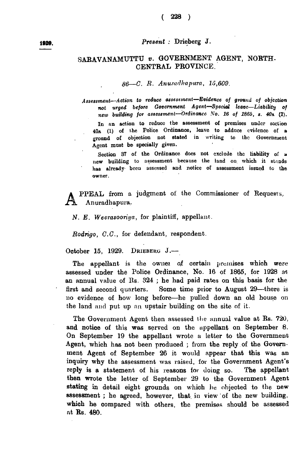## $(228)$

## *Present* : Drieberg J.

## SARAVANAMUTTU *v.* GOVERNMENT AGENT, NORTH-CENTRAL PROVINCE.

## 86—C. R. Anuradhapura, 15,609.

Assessment-Action to reduce assessment-Evidence of ground of objection not urged before Government Agent-Special leave-Liability of *new building for assessment*-Ordinance No. 16 of 1865, *s.* 40A (1).

In an action to reduce the assessment of premises under section 40a (1) of the Police Ordinance, leave to adduce evidence of a ground of objection not stated in writing to the Government Agent must be specially given.

Section 37 of the Ordinance does not exclude the liability of a new building to assessment because the land on which it stands has already- been assessed and notice of assessment issued to the owner.

**A** PPEAL from a judgment of the Comm<br> *N. E. Weerasooriya*, for plaintiff, appellant. PPEAL from a judgment of the Commissioner of Requests, Anuradhapura,

*Rodrigo, C.C.,* for defendant, respondent.

October 15, 1929. DRIEBERG  $J$ .

The appellant is the owner of certain premises which were assessed under the Police Ordinance, No. 16 of 1865, for 1928 at an annual value of Rs. 324 ; he had paid rates on this basis for the first and second quarters. Some time prior to August 29—there is no evidence of how long before—he pulled down an old bouse on the land and put up an upstair building on the site of it.

The Government Agent then assessed the annual value at Rs. 720, and notice of this was served on the appellant on September 8. On September 19 the appellant wrote a letter to the Government Agent, which has not been produced ; from the reply of the Government Agent of September 26 it would appear that this was an inquiry why the assessment was raised, for the Government Agent's reply is a statement of his reasons for doing so. The appellant then wrote the letter of September 29 to the Government Agent stating in detail eight grounds on which he objected to the new assessment ; he agreed, however, that in view of the new building, which he compared with others, the premises should be assessed at Rs. 480.